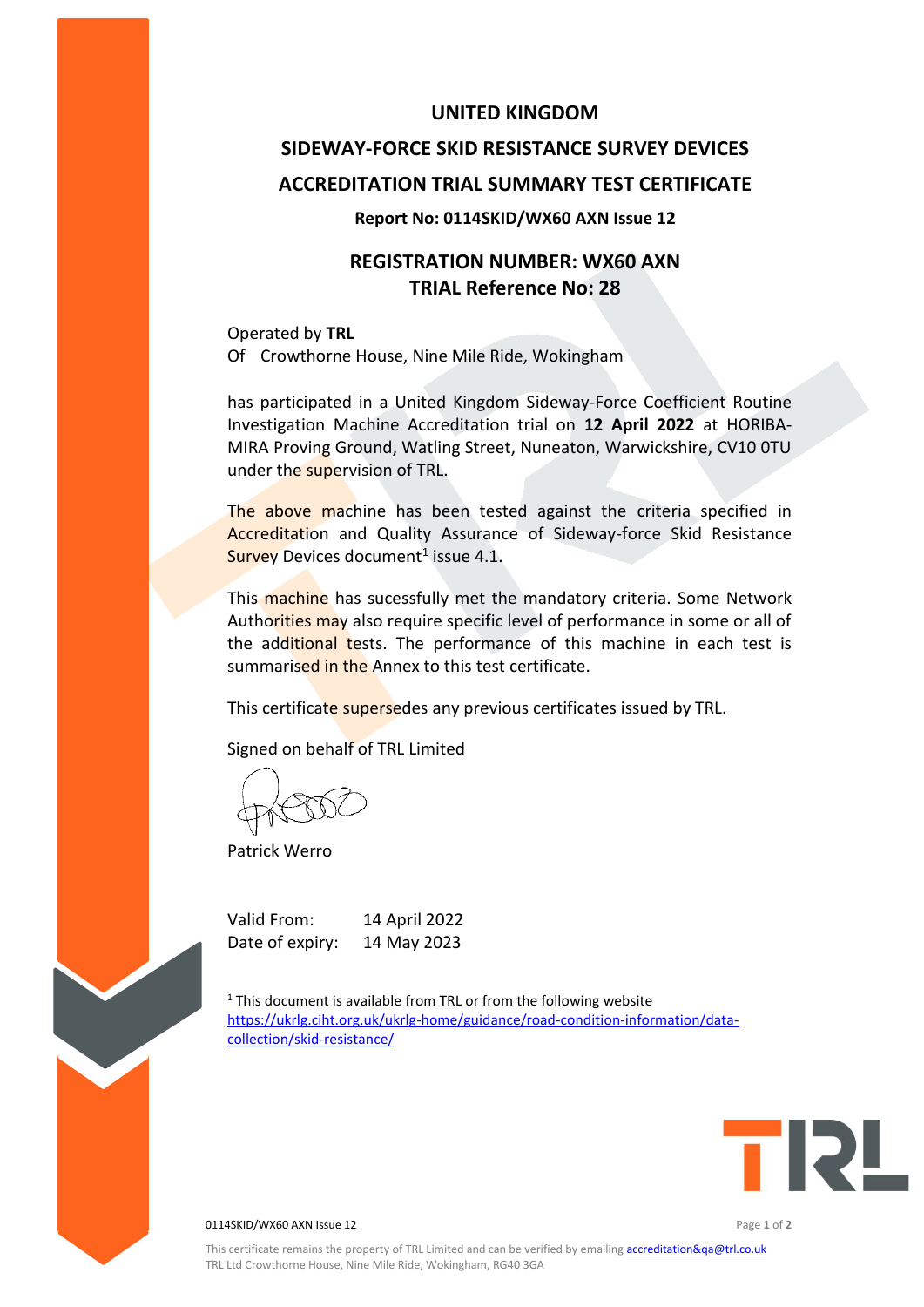### **UNITED KINGDOM**

# **SIDEWAY-FORCE SKID RESISTANCE SURVEY DEVICES ACCREDITATION TRIAL SUMMARY TEST CERTIFICATE**

#### **Report No: 0114SKID/WX60 AXN Issue 12**

## **REGISTRATION NUMBER: WX60 AXN TRIAL Reference No: 28**

Operated by **TRL** Of Crowthorne House, Nine Mile Ride, Wokingham

has participated in a United Kingdom Sideway-Force Coefficient Routine Investigation Machine Accreditation trial on **12 April 2022** at HORIBA-MIRA Proving Ground, Watling Street, Nuneaton, Warwickshire, CV10 0TU under the supervision of TRL.

The above machine has been tested against the criteria specified in Accreditation and Quality Assurance of Sideway-force Skid Resistance Survey Devices document<sup>1</sup> issue 4.1.

This machine has sucessfully met the mandatory criteria. Some Network Authorities may also require specific level of performance in some or all of the additional tests. The performance of this machine in each test is summarised in the Annex to this test certificate.

This certificate supersedes any previous certificates issued by TRL.

Signed on behalf of TRL Limited

Patrick Werro

Valid From: 14 April 2022 Date of expiry: 14 May 2023

 $1$ <sup>1</sup> This document is available from TRL or from the following website [https://ukrlg.ciht.org.uk/ukrlg-home/guidance/road-condition-information/data](https://ukrlg.ciht.org.uk/ukrlg-home/guidance/road-condition-information/data-collection/skid-resistance/)[collection/skid-resistance/](https://ukrlg.ciht.org.uk/ukrlg-home/guidance/road-condition-information/data-collection/skid-resistance/)



**0114SKID/WX60 AXN Issue 12 Page 1** of 2